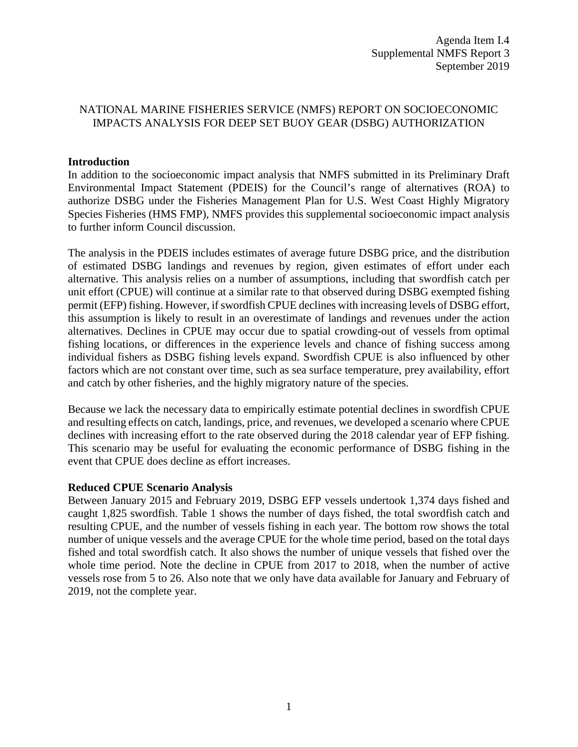## NATIONAL MARINE FISHERIES SERVICE (NMFS) REPORT ON SOCIOECONOMIC IMPACTS ANALYSIS FOR DEEP SET BUOY GEAR (DSBG) AUTHORIZATION

### **Introduction**

In addition to the socioeconomic impact analysis that NMFS submitted in its Preliminary Draft Environmental Impact Statement (PDEIS) for the Council's range of alternatives (ROA) to authorize DSBG under the Fisheries Management Plan for U.S. West Coast Highly Migratory Species Fisheries (HMS FMP), NMFS provides this supplemental socioeconomic impact analysis to further inform Council discussion.

The analysis in the PDEIS includes estimates of average future DSBG price, and the distribution of estimated DSBG landings and revenues by region, given estimates of effort under each alternative. This analysis relies on a number of assumptions, including that swordfish catch per unit effort (CPUE) will continue at a similar rate to that observed during DSBG exempted fishing permit (EFP) fishing. However, if swordfish CPUE declines with increasing levels of DSBG effort, this assumption is likely to result in an overestimate of landings and revenues under the action alternatives. Declines in CPUE may occur due to spatial crowding-out of vessels from optimal fishing locations, or differences in the experience levels and chance of fishing success among individual fishers as DSBG fishing levels expand. Swordfish CPUE is also influenced by other factors which are not constant over time, such as sea surface temperature, prey availability, effort and catch by other fisheries, and the highly migratory nature of the species.

Because we lack the necessary data to empirically estimate potential declines in swordfish CPUE and resulting effects on catch, landings, price, and revenues, we developed a scenario where CPUE declines with increasing effort to the rate observed during the 2018 calendar year of EFP fishing. This scenario may be useful for evaluating the economic performance of DSBG fishing in the event that CPUE does decline as effort increases.

#### **Reduced CPUE Scenario Analysis**

Between January 2015 and February 2019, DSBG EFP vessels undertook 1,374 days fished and caught 1,825 swordfish. Table 1 shows the number of days fished, the total swordfish catch and resulting CPUE, and the number of vessels fishing in each year. The bottom row shows the total number of unique vessels and the average CPUE for the whole time period, based on the total days fished and total swordfish catch. It also shows the number of unique vessels that fished over the whole time period. Note the decline in CPUE from 2017 to 2018, when the number of active vessels rose from 5 to 26. Also note that we only have data available for January and February of 2019, not the complete year.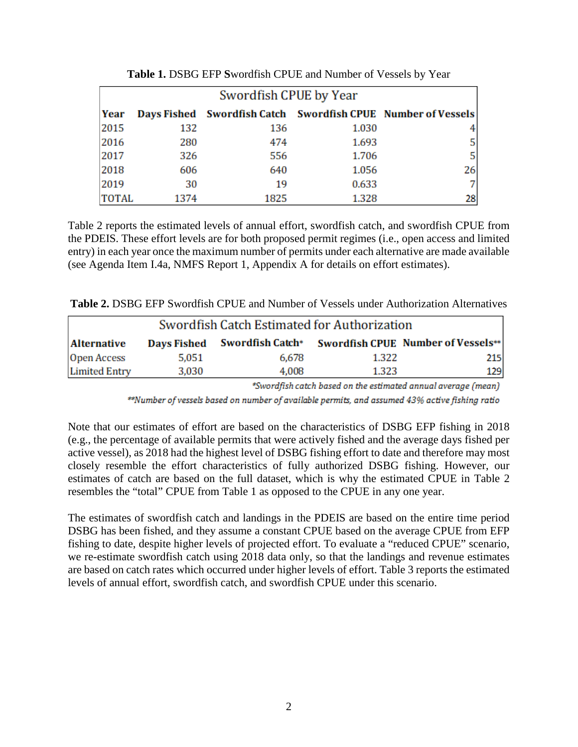| Swordfish CPUE by Year |      |      |       |                                                              |  |  |  |  |  |
|------------------------|------|------|-------|--------------------------------------------------------------|--|--|--|--|--|
| Year                   |      |      |       | Days Fished Swordfish Catch Swordfish CPUE Number of Vessels |  |  |  |  |  |
| 2015                   | 132  | 136  | 1.030 |                                                              |  |  |  |  |  |
| 2016                   | 280  | 474  | 1.693 | 51                                                           |  |  |  |  |  |
| 2017                   | 326  | 556  | 1.706 | 5                                                            |  |  |  |  |  |
| 2018                   | 606  | 640  | 1.056 | 26                                                           |  |  |  |  |  |
| 2019                   | 30   | 19   | 0.633 | 7.                                                           |  |  |  |  |  |
| <b>TOTAL</b>           | 1374 | 1825 | 1.328 | 28                                                           |  |  |  |  |  |

**Table 1.** DSBG EFP **S**wordfish CPUE and Number of Vessels by Year

Table 2 reports the estimated levels of annual effort, swordfish catch, and swordfish CPUE from the PDEIS. These effort levels are for both proposed permit regimes (i.e., open access and limited entry) in each year once the maximum number of permits under each alternative are made available (see Agenda Item I.4a, NMFS Report 1, Appendix A for details on effort estimates).

| <b>Table 2.</b> DSBG EFP Swordfish CPUE and Number of Vessels under Authorization Alternatives |  |
|------------------------------------------------------------------------------------------------|--|
|------------------------------------------------------------------------------------------------|--|

| Swordfish Catch Estimated for Authorization |       |                              |       |                                           |  |  |  |
|---------------------------------------------|-------|------------------------------|-------|-------------------------------------------|--|--|--|
| <b>Alternative</b>                          |       | Days Fished Swordfish Catch* |       | <b>Swordfish CPUE Number of Vessels**</b> |  |  |  |
| Open Access                                 | 5.051 | 6.678                        | 1.322 | 215                                       |  |  |  |
| <b>Limited Entry</b>                        | 3,030 | 4.008                        | 1.323 | 129                                       |  |  |  |

\*Swordfish catch based on the estimated annual average (mean)

\*\*Number of vessels based on number of available permits, and assumed 43% active fishing ratio

Note that our estimates of effort are based on the characteristics of DSBG EFP fishing in 2018 (e.g., the percentage of available permits that were actively fished and the average days fished per active vessel), as 2018 had the highest level of DSBG fishing effort to date and therefore may most closely resemble the effort characteristics of fully authorized DSBG fishing. However, our estimates of catch are based on the full dataset, which is why the estimated CPUE in Table 2 resembles the "total" CPUE from Table 1 as opposed to the CPUE in any one year.

The estimates of swordfish catch and landings in the PDEIS are based on the entire time period DSBG has been fished, and they assume a constant CPUE based on the average CPUE from EFP fishing to date, despite higher levels of projected effort. To evaluate a "reduced CPUE" scenario, we re-estimate swordfish catch using 2018 data only, so that the landings and revenue estimates are based on catch rates which occurred under higher levels of effort. Table 3 reports the estimated levels of annual effort, swordfish catch, and swordfish CPUE under this scenario.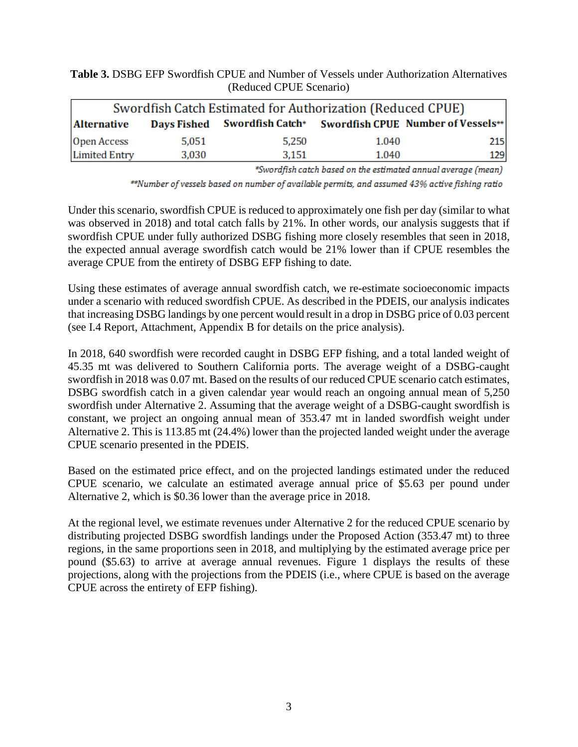# **Table 3.** DSBG EFP Swordfish CPUE and Number of Vessels under Authorization Alternatives (Reduced CPUE Scenario)

| Swordfish Catch Estimated for Authorization (Reduced CPUE) |       |                              |       |                                    |  |  |  |
|------------------------------------------------------------|-------|------------------------------|-------|------------------------------------|--|--|--|
| <b>Alternative</b>                                         |       | Days Fished Swordfish Catch* |       | Swordfish CPUE Number of Vessels** |  |  |  |
| Open Access                                                | 5,051 | 5,250                        | 1.040 | 215                                |  |  |  |
| <b>Limited Entry</b>                                       | 3,030 | 3.151                        | 1.040 | 129                                |  |  |  |

\*Swordfish catch based on the estimated annual average (mean)

\*\*Number of vessels based on number of available permits, and assumed 43% active fishing ratio

Under this scenario, swordfish CPUE is reduced to approximately one fish per day (similar to what was observed in 2018) and total catch falls by 21%. In other words, our analysis suggests that if swordfish CPUE under fully authorized DSBG fishing more closely resembles that seen in 2018, the expected annual average swordfish catch would be 21% lower than if CPUE resembles the average CPUE from the entirety of DSBG EFP fishing to date.

Using these estimates of average annual swordfish catch, we re-estimate socioeconomic impacts under a scenario with reduced swordfish CPUE. As described in the PDEIS, our analysis indicates that increasing DSBG landings by one percent would result in a drop in DSBG price of 0.03 percent (see I.4 Report, Attachment, Appendix B for details on the price analysis).

In 2018, 640 swordfish were recorded caught in DSBG EFP fishing, and a total landed weight of 45.35 mt was delivered to Southern California ports. The average weight of a DSBG-caught swordfish in 2018 was 0.07 mt. Based on the results of our reduced CPUE scenario catch estimates, DSBG swordfish catch in a given calendar year would reach an ongoing annual mean of 5,250 swordfish under Alternative 2. Assuming that the average weight of a DSBG-caught swordfish is constant, we project an ongoing annual mean of 353.47 mt in landed swordfish weight under Alternative 2. This is 113.85 mt (24.4%) lower than the projected landed weight under the average CPUE scenario presented in the PDEIS.

Based on the estimated price effect, and on the projected landings estimated under the reduced CPUE scenario, we calculate an estimated average annual price of \$5.63 per pound under Alternative 2, which is \$0.36 lower than the average price in 2018.

At the regional level, we estimate revenues under Alternative 2 for the reduced CPUE scenario by distributing projected DSBG swordfish landings under the Proposed Action (353.47 mt) to three regions, in the same proportions seen in 2018, and multiplying by the estimated average price per pound (\$5.63) to arrive at average annual revenues. Figure 1 displays the results of these projections, along with the projections from the PDEIS (i.e., where CPUE is based on the average CPUE across the entirety of EFP fishing).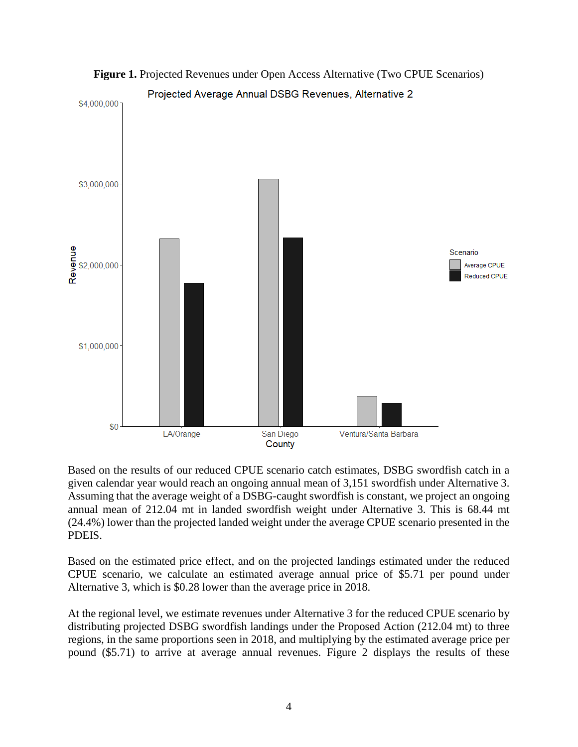

**Figure 1.** Projected Revenues under Open Access Alternative (Two CPUE Scenarios)

Based on the results of our reduced CPUE scenario catch estimates, DSBG swordfish catch in a given calendar year would reach an ongoing annual mean of 3,151 swordfish under Alternative 3. Assuming that the average weight of a DSBG-caught swordfish is constant, we project an ongoing annual mean of 212.04 mt in landed swordfish weight under Alternative 3. This is 68.44 mt (24.4%) lower than the projected landed weight under the average CPUE scenario presented in the PDEIS.

Based on the estimated price effect, and on the projected landings estimated under the reduced CPUE scenario, we calculate an estimated average annual price of \$5.71 per pound under Alternative 3, which is \$0.28 lower than the average price in 2018.

At the regional level, we estimate revenues under Alternative 3 for the reduced CPUE scenario by distributing projected DSBG swordfish landings under the Proposed Action (212.04 mt) to three regions, in the same proportions seen in 2018, and multiplying by the estimated average price per pound (\$5.71) to arrive at average annual revenues. Figure 2 displays the results of these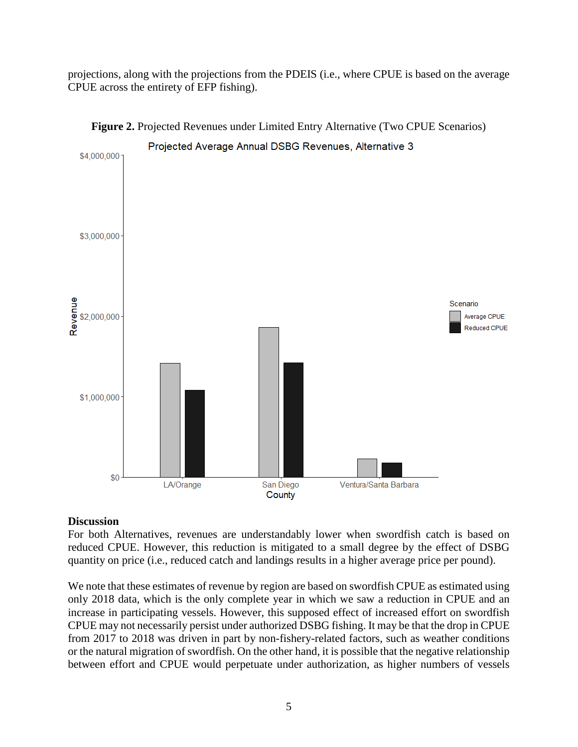projections, along with the projections from the PDEIS (i.e., where CPUE is based on the average CPUE across the entirety of EFP fishing).



# **Figure 2.** Projected Revenues under Limited Entry Alternative (Two CPUE Scenarios)

## **Discussion**

For both Alternatives, revenues are understandably lower when swordfish catch is based on reduced CPUE. However, this reduction is mitigated to a small degree by the effect of DSBG quantity on price (i.e., reduced catch and landings results in a higher average price per pound).

We note that these estimates of revenue by region are based on swordfish CPUE as estimated using only 2018 data, which is the only complete year in which we saw a reduction in CPUE and an increase in participating vessels. However, this supposed effect of increased effort on swordfish CPUE may not necessarily persist under authorized DSBG fishing. It may be that the drop in CPUE from 2017 to 2018 was driven in part by non-fishery-related factors, such as weather conditions or the natural migration of swordfish. On the other hand, it is possible that the negative relationship between effort and CPUE would perpetuate under authorization, as higher numbers of vessels